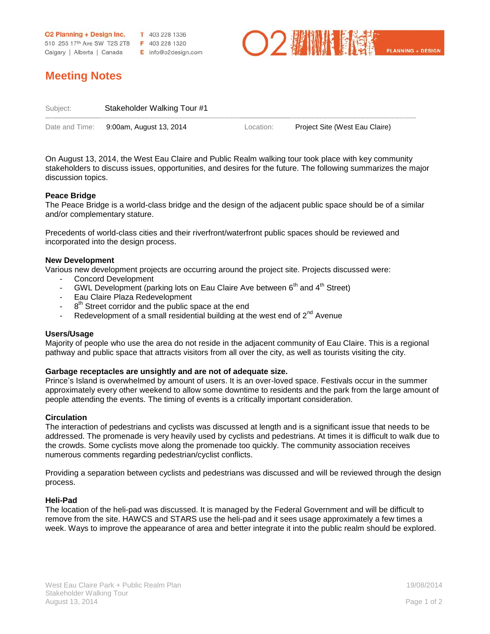**O2 Planning + Design Inc.**  $\bf{T}$  403 228 1336 510 255 17th Ave SW T2S 2T8 F 403 228 1320 Calgary | Alberta | Canada E info@o2design.com



# **Meeting Notes**

| Subject: | Stakeholder Walking Tour #1            |           |                                |
|----------|----------------------------------------|-----------|--------------------------------|
|          |                                        |           |                                |
|          | Date and Time: 9:00am, August 13, 2014 | Location: | Project Site (West Eau Claire) |

On August 13, 2014, the West Eau Claire and Public Realm walking tour took place with key community stakeholders to discuss issues, opportunities, and desires for the future. The following summarizes the major discussion topics.

# **Peace Bridge**

The Peace Bridge is a world-class bridge and the design of the adjacent public space should be of a similar and/or complementary stature.

Precedents of world-class cities and their riverfront/waterfront public spaces should be reviewed and incorporated into the design process.

## **New Development**

Various new development projects are occurring around the project site. Projects discussed were:

- Concord Development
- GWL Development (parking lots on Eau Claire Ave between  $6<sup>th</sup>$  and  $4<sup>th</sup>$  Street)
- Eau Claire Plaza Redevelopment
- $-8<sup>th</sup>$  Street corridor and the public space at the end
- Redevelopment of a small residential building at the west end of  $2^{nd}$  Avenue

#### **Users/Usage**

Majority of people who use the area do not reside in the adjacent community of Eau Claire. This is a regional pathway and public space that attracts visitors from all over the city, as well as tourists visiting the city.

## **Garbage receptacles are unsightly and are not of adequate size.**

Prince's Island is overwhelmed by amount of users. It is an over-loved space. Festivals occur in the summer approximately every other weekend to allow some downtime to residents and the park from the large amount of people attending the events. The timing of events is a critically important consideration.

#### **Circulation**

The interaction of pedestrians and cyclists was discussed at length and is a significant issue that needs to be addressed. The promenade is very heavily used by cyclists and pedestrians. At times it is difficult to walk due to the crowds. Some cyclists move along the promenade too quickly. The community association receives numerous comments regarding pedestrian/cyclist conflicts.

Providing a separation between cyclists and pedestrians was discussed and will be reviewed through the design process.

## **Heli-Pad**

The location of the heli-pad was discussed. It is managed by the Federal Government and will be difficult to remove from the site. HAWCS and STARS use the heli-pad and it sees usage approximately a few times a week. Ways to improve the appearance of area and better integrate it into the public realm should be explored.